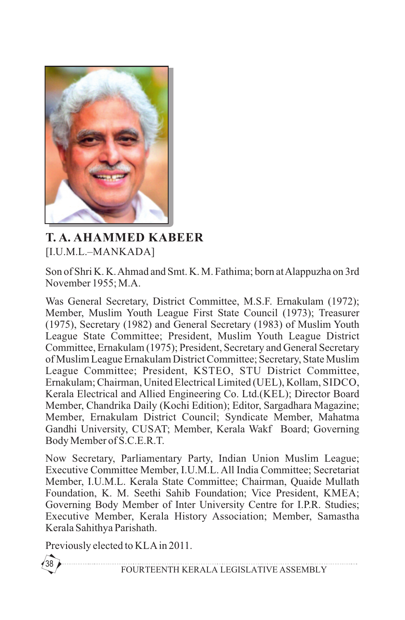

## **T. A. AHAMMED KABEER** [I.U.M.L.–MANKADA]

Son of Shri K. K. Ahmad and Smt. K. M. Fathima; born at Alappuzha on 3rd November 1955; M.A.

Was General Secretary, District Committee, M.S.F. Ernakulam (1972); Member, Muslim Youth League First State Council (1973); Treasurer (1975), Secretary (1982) and General Secretary (1983) of Muslim Youth League State Committee; President, Muslim Youth League District Committee, Ernakulam (1975); President, Secretary and General Secretary of Muslim League Ernakulam District Committee; Secretary, State Muslim League Committee; President, KSTEO, STU District Committee, Ernakulam; Chairman, United Electrical Limited (UEL), Kollam, SIDCO, Kerala Electrical and Allied Engineering Co. Ltd.(KEL); Director Board Member, Chandrika Daily (Kochi Edition); Editor, Sargadhara Magazine; Member, Ernakulam District Council; Syndicate Member, Mahatma Gandhi University, CUSAT; Member, Kerala Wakf Board; Governing Body Member of S.C.E.R.T.

Now Secretary, Parliamentary Party, Indian Union Muslim League; Executive Committee Member, I.U.M.L. All India Committee; Secretariat Member, I.U.M.L. Kerala State Committee; Chairman, Quaide Mullath Foundation, K. M. Seethi Sahib Foundation; Vice President, KMEA; Governing Body Member of Inter University Centre for I.P.R. Studies; Executive Member, Kerala History Association; Member, Samastha Kerala Sahithya Parishath.

Previously elected to KLAin 2011.